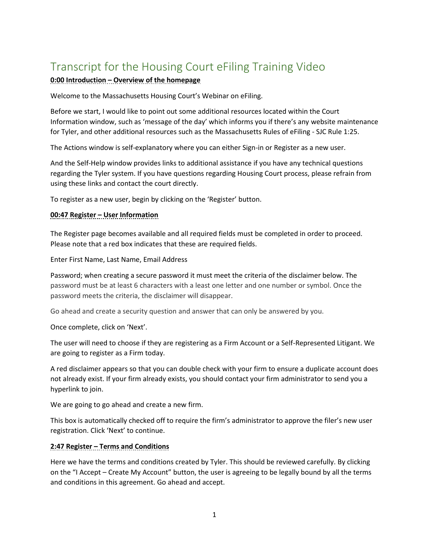# Transcript for the Housing Court eFiling Training Video

# **0:00 Introduction – Overview of the homepage**

Welcome to the Massachusetts Housing Court's Webinar on eFiling.

Before we start, I would like to point out some additional resources located within the Court Information window, such as 'message of the day' which informs you if there's any website maintenance for Tyler, and other additional resources such as the Massachusetts Rules of eFiling - SJC Rule 1:25.

The Actions window is self-explanatory where you can either Sign-in or Register as a new user.

And the Self-Help window provides links to additional assistance if you have any technical questions regarding the Tyler system. If you have questions regarding Housing Court process, please refrain from using these links and contact the court directly.

To register as a new user, begin by clicking on the 'Register' button.

#### **00:47 Register – User Information**

The Register page becomes available and all required fields must be completed in order to proceed. Please note that a red box indicates that these are required fields.

Enter First Name, Last Name, Email Address

Password; when creating a secure password it must meet the criteria of the disclaimer below. The password must be at least 6 characters with a least one letter and one number or symbol. Once the password meets the criteria, the disclaimer will disappear.

Go ahead and create a security question and answer that can only be answered by you.

Once complete, click on 'Next'.

The user will need to choose if they are registering as a Firm Account or a Self-Represented Litigant. We are going to register as a Firm today.

A red disclaimer appears so that you can double check with your firm to ensure a duplicate account does not already exist. If your firm already exists, you should contact your firm administrator to send you a hyperlink to join.

We are going to go ahead and create a new firm.

This box is automatically checked off to require the firm's administrator to approve the filer's new user registration. Click 'Next' to continue.

#### **2:47 Register – Terms and Conditions**

Here we have the terms and conditions created by Tyler. This should be reviewed carefully. By clicking on the "I Accept – Create My Account" button, the user is agreeing to be legally bound by all the terms and conditions in this agreement. Go ahead and accept.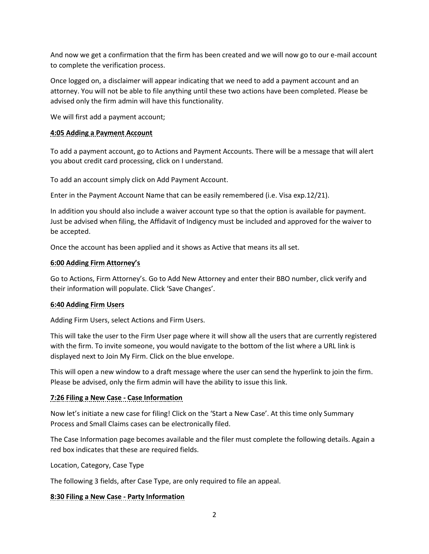And now we get a confirmation that the firm has been created and we will now go to our e-mail account to complete the verification process.

Once logged on, a disclaimer will appear indicating that we need to add a payment account and an attorney. You will not be able to file anything until these two actions have been completed. Please be advised only the firm admin will have this functionality.

We will first add a payment account;

#### **4:05 Adding a Payment Account**

To add a payment account, go to Actions and Payment Accounts. There will be a message that will alert you about credit card processing, click on I understand.

To add an account simply click on Add Payment Account.

Enter in the Payment Account Name that can be easily remembered (i.e. Visa exp.12/21).

In addition you should also include a waiver account type so that the option is available for payment. Just be advised when filing, the Affidavit of Indigency must be included and approved for the waiver to be accepted.

Once the account has been applied and it shows as Active that means its all set.

#### **6:00 Adding Firm Attorney's**

Go to Actions, Firm Attorney's. Go to Add New Attorney and enter their BBO number, click verify and their information will populate. Click 'Save Changes'.

# **6:40 Adding Firm Users**

Adding Firm Users, select Actions and Firm Users.

This will take the user to the Firm User page where it will show all the users that are currently registered with the firm. To invite someone, you would navigate to the bottom of the list where a URL link is displayed next to Join My Firm. Click on the blue envelope.

This will open a new window to a draft message where the user can send the hyperlink to join the firm. Please be advised, only the firm admin will have the ability to issue this link.

# **7:26 Filing a New Case - Case Information**

Now let's initiate a new case for filing! Click on the 'Start a New Case'. At this time only Summary Process and Small Claims cases can be electronically filed.

The Case Information page becomes available and the filer must complete the following details. Again a red box indicates that these are required fields.

Location, Category, Case Type

The following 3 fields, after Case Type, are only required to file an appeal.

# **8:30 Filing a New Case - Party Information**